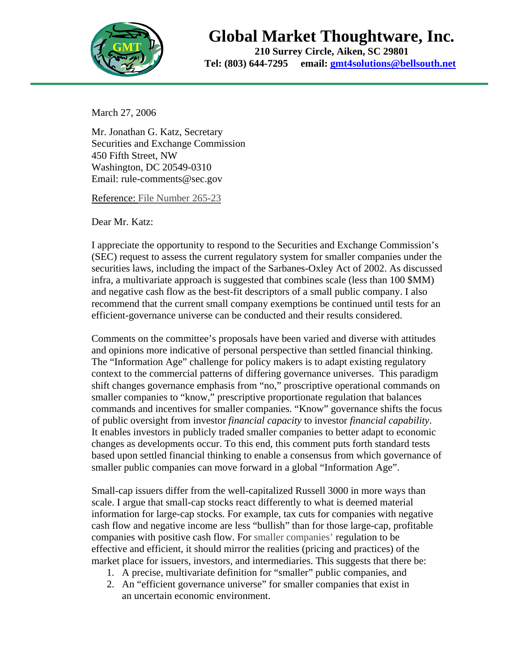

## **Global Market Thoughtware, Inc.**

**210 Surrey Circle, Aiken, SC 29801 Tel: (803) 644-7295 email: gmt4solutions@bellsouth.net**

March 27, 2006

Mr. Jonathan G. Katz, Secretary Securities and Exchange Commission 450 Fifth Street, NW Washington, DC 20549-0310 Email: rule-comments@sec.gov

Reference: File Number 265-23

Dear Mr. Katz:

I appreciate the opportunity to respond to the Securities and Exchange Commission's (SEC) request to assess the current regulatory system for smaller companies under the securities laws, including the impact of the Sarbanes-Oxley Act of 2002. As discussed infra, a multivariate approach is suggested that combines scale (less than 100 \$MM) and negative cash flow as the best-fit descriptors of a small public company. I also recommend that the current small company exemptions be continued until tests for an efficient-governance universe can be conducted and their results considered.

Comments on the committee's proposals have been varied and diverse with attitudes and opinions more indicative of personal perspective than settled financial thinking. The "Information Age" challenge for policy makers is to adapt existing regulatory context to the commercial patterns of differing governance universes. This paradigm shift changes governance emphasis from "no," proscriptive operational commands on smaller companies to "know," prescriptive proportionate regulation that balances commands and incentives for smaller companies. "Know" governance shifts the focus of public oversight from investor *financial capacity* to investor *financial capability*. It enables investors in publicly traded smaller companies to better adapt to economic changes as developments occur. To this end, this comment puts forth standard tests based upon settled financial thinking to enable a consensus from which governance of smaller public companies can move forward in a global "Information Age".

Small-cap issuers differ from the well-capitalized Russell 3000 in more ways than scale. I argue that small-cap stocks react differently to what is deemed material information for large-cap stocks. For example, tax cuts for companies with negative cash flow and negative income are less "bullish" than for those large-cap, profitable companies with positive cash flow. For smaller companies' regulation to be effective and efficient, it should mirror the realities (pricing and practices) of the market place for issuers, investors, and intermediaries. This suggests that there be:

- 1. A precise, multivariate definition for "smaller" public companies, and
- 2. An "efficient governance universe" for smaller companies that exist in an uncertain economic environment.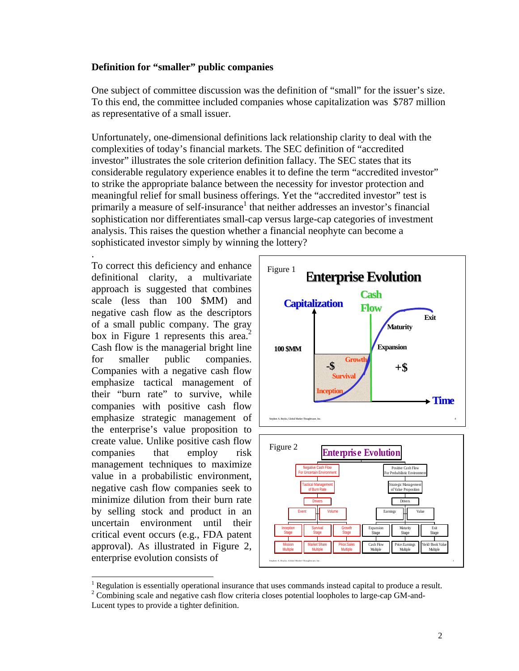## **Definition for "smaller" public companies**

One subject of committee discussion was the definition of "small" for the issuer's size. To this end, the committee included companies whose capitalization was \$787 million as representative of a small issuer.

Unfortunately, one-dimensional definitions lack relationship clarity to deal with the complexities of today's financial markets. The SEC definition of "accredited investor" illustrates the sole criterion definition fallacy. The SEC states that its considerable regulatory experience enables it to define the term "accredited investor" to strike the appropriate balance between the necessity for investor protection and meaningful relief for small business offerings. Yet the "accredited investor" test is primarily a measure of self-insurance<sup>1</sup> that neither addresses an investor's financial sophistication nor differentiates small-cap versus large-cap categories of investment analysis. This raises the question whether a financial neophyte can become a sophisticated investor simply by winning the lottery?

. To correct this deficiency and enhance definitional clarity, a multivariate approach is suggested that combines scale (less than 100 \$MM) and negative cash flow as the descriptors of a small public company. The gray box in Figure 1 represents this area.<sup>2</sup> Cash flow is the managerial bright line for smaller public companies. Companies with a negative cash flow emphasize tactical management of their "burn rate" to survive, while companies with positive cash flow emphasize strategic management of the enterprise's value proposition to create value. Unlike positive cash flow companies that employ risk management techniques to maximize value in a probabilistic environment, negative cash flow companies seek to minimize dilution from their burn rate by selling stock and product in an uncertain environment until their critical event occurs (e.g., FDA patent approval). As illustrated in Figure 2, enterprise evolution consists of



<sup>|&</sup>lt;br>|<br>|  $<sup>1</sup>$  Regulation is essentially operational insurance that uses commands instead capital to produce a result.</sup>

 $2^2$  Combining scale and negative cash flow criteria closes potential loopholes to large-cap GM-and-

Lucent types to provide a tighter definition.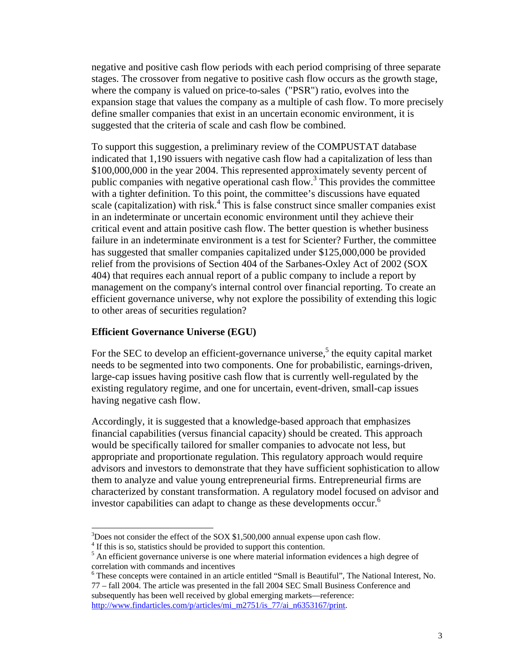negative and positive cash flow periods with each period comprising of three separate stages. The crossover from negative to positive cash flow occurs as the growth stage, where the company is valued on price-to-sales ("PSR") ratio, evolves into the expansion stage that values the company as a multiple of cash flow. To more precisely define smaller companies that exist in an uncertain economic environment, it is suggested that the criteria of scale and cash flow be combined.

To support this suggestion, a preliminary review of the COMPUSTAT database indicated that 1,190 issuers with negative cash flow had a capitalization of less than \$100,000,000 in the year 2004. This represented approximately seventy percent of public companies with negative operational cash flow.<sup>3</sup> This provides the committee with a tighter definition. To this point, the committee's discussions have equated scale (capitalization) with risk.<sup>4</sup> This is false construct since smaller companies exist in an indeterminate or uncertain economic environment until they achieve their critical event and attain positive cash flow. The better question is whether business failure in an indeterminate environment is a test for Scienter? Further, the committee has suggested that smaller companies capitalized under \$125,000,000 be provided relief from the provisions of Section 404 of the Sarbanes-Oxley Act of 2002 (SOX 404) that requires each annual report of a public company to include a report by management on the company's internal control over financial reporting. To create an efficient governance universe, why not explore the possibility of extending this logic to other areas of securities regulation?

## **Efficient Governance Universe (EGU)**

For the SEC to develop an efficient-governance universe,<sup>5</sup> the equity capital market needs to be segmented into two components. One for probabilistic, earnings-driven, large-cap issues having positive cash flow that is currently well-regulated by the existing regulatory regime, and one for uncertain, event-driven, small-cap issues having negative cash flow.

Accordingly, it is suggested that a knowledge-based approach that emphasizes financial capabilities (versus financial capacity) should be created. This approach would be specifically tailored for smaller companies to advocate not less, but appropriate and proportionate regulation. This regulatory approach would require advisors and investors to demonstrate that they have sufficient sophistication to allow them to analyze and value young entrepreneurial firms. Entrepreneurial firms are characterized by constant transformation. A regulatory model focused on advisor and investor capabilities can adapt to change as these developments occur.<sup>6</sup>

 <sup>3</sup>  $3$ Does not consider the effect of the SOX \$1,500,000 annual expense upon cash flow.

 $4$  If this is so, statistics should be provided to support this contention.

<sup>&</sup>lt;sup>5</sup> An efficient governance universe is one where material information evidences a high degree of correlation with commands and incentives

These concepts were contained in an article entitled "Small is Beautiful", The National Interest, No. 77 – fall 2004. The article was presented in the fall 2004 SEC Small Business Conference and

subsequently has been well received by global emerging markets—reference: http://www.findarticles.com/p/articles/mi\_m2751/is\_77/ai\_n6353167/print.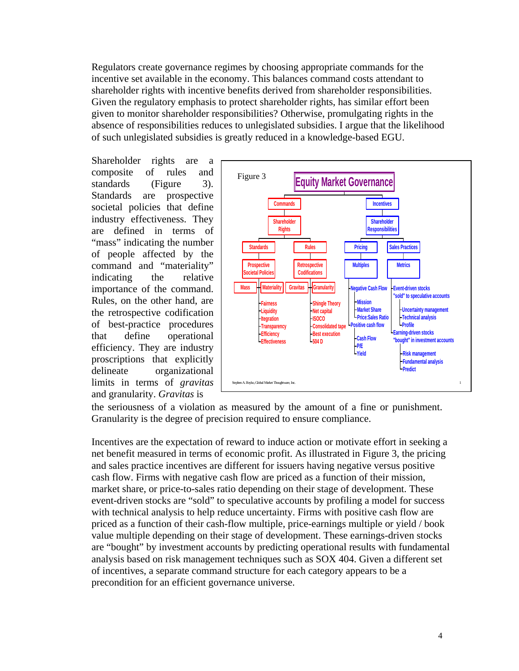Regulators create governance regimes by choosing appropriate commands for the incentive set available in the economy. This balances command costs attendant to shareholder rights with incentive benefits derived from shareholder responsibilities. Given the regulatory emphasis to protect shareholder rights, has similar effort been given to monitor shareholder responsibilities? Otherwise, promulgating rights in the absence of responsibilities reduces to unlegislated subsidies. I argue that the likelihood of such unlegislated subsidies is greatly reduced in a knowledge-based EGU.

Shareholder rights are a composite of rules and standards (Figure 3). Standards are prospective societal policies that define industry effectiveness. They are defined in terms of "mass" indicating the number of people affected by the command and "materiality" indicating the relative importance of the command. Rules, on the other hand, are the retrospective codification of best-practice procedures that define operational efficiency. They are industry proscriptions that explicitly delineate organizational limits in terms of *gravitas* and granularity. *Gravitas* is



the seriousness of a violation as measured by the amount of a fine or punishment. Granularity is the degree of precision required to ensure compliance.

Incentives are the expectation of reward to induce action or motivate effort in seeking a net benefit measured in terms of economic profit. As illustrated in Figure 3, the pricing and sales practice incentives are different for issuers having negative versus positive cash flow. Firms with negative cash flow are priced as a function of their mission, market share, or price-to-sales ratio depending on their stage of development. These event-driven stocks are "sold" to speculative accounts by profiling a model for success with technical analysis to help reduce uncertainty. Firms with positive cash flow are priced as a function of their cash-flow multiple, price-earnings multiple or yield / book value multiple depending on their stage of development. These earnings-driven stocks are "bought" by investment accounts by predicting operational results with fundamental analysis based on risk management techniques such as SOX 404. Given a different set of incentives, a separate command structure for each category appears to be a precondition for an efficient governance universe.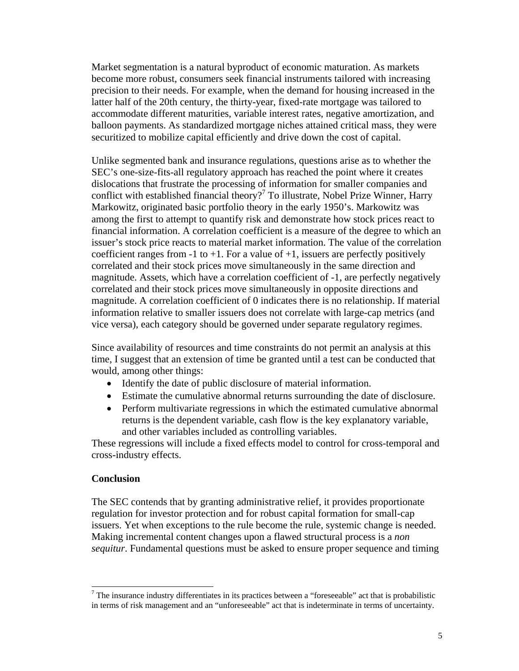Market segmentation is a natural byproduct of economic maturation. As markets become more robust, consumers seek financial instruments tailored with increasing precision to their needs. For example, when the demand for housing increased in the latter half of the 20th century, the thirty-year, fixed-rate mortgage was tailored to accommodate different maturities, variable interest rates, negative amortization, and balloon payments. As standardized mortgage niches attained critical mass, they were securitized to mobilize capital efficiently and drive down the cost of capital.

Unlike segmented bank and insurance regulations, questions arise as to whether the SEC's one-size-fits-all regulatory approach has reached the point where it creates dislocations that frustrate the processing of information for smaller companies and conflict with established financial theory?<sup>7</sup> To illustrate, Nobel Prize Winner, Harry Markowitz, originated basic portfolio theory in the early 1950's. Markowitz was among the first to attempt to quantify risk and demonstrate how stock prices react to financial information. A correlation coefficient is a measure of the degree to which an issuer's stock price reacts to material market information. The value of the correlation coefficient ranges from -1 to +1. For a value of +1, issuers are perfectly positively correlated and their stock prices move simultaneously in the same direction and magnitude. Assets, which have a correlation coefficient of -1, are perfectly negatively correlated and their stock prices move simultaneously in opposite directions and magnitude. A correlation coefficient of 0 indicates there is no relationship. If material information relative to smaller issuers does not correlate with large-cap metrics (and vice versa), each category should be governed under separate regulatory regimes.

Since availability of resources and time constraints do not permit an analysis at this time, I suggest that an extension of time be granted until a test can be conducted that would, among other things:

- Identify the date of public disclosure of material information.
- Estimate the cumulative abnormal returns surrounding the date of disclosure.
- Perform multivariate regressions in which the estimated cumulative abnormal returns is the dependent variable, cash flow is the key explanatory variable, and other variables included as controlling variables.

These regressions will include a fixed effects model to control for cross-temporal and cross-industry effects.

## **Conclusion**

The SEC contends that by granting administrative relief, it provides proportionate regulation for investor protection and for robust capital formation for small-cap issuers. Yet when exceptions to the rule become the rule, systemic change is needed. Making incremental content changes upon a flawed structural process is a *non sequitur*. Fundamental questions must be asked to ensure proper sequence and timing

<sup>-&</sup>lt;br>7  $\frac{7}{1}$  The insurance industry differentiates in its practices between a "foreseeable" act that is probabilistic in terms of risk management and an "unforeseeable" act that is indeterminate in terms of uncertainty.